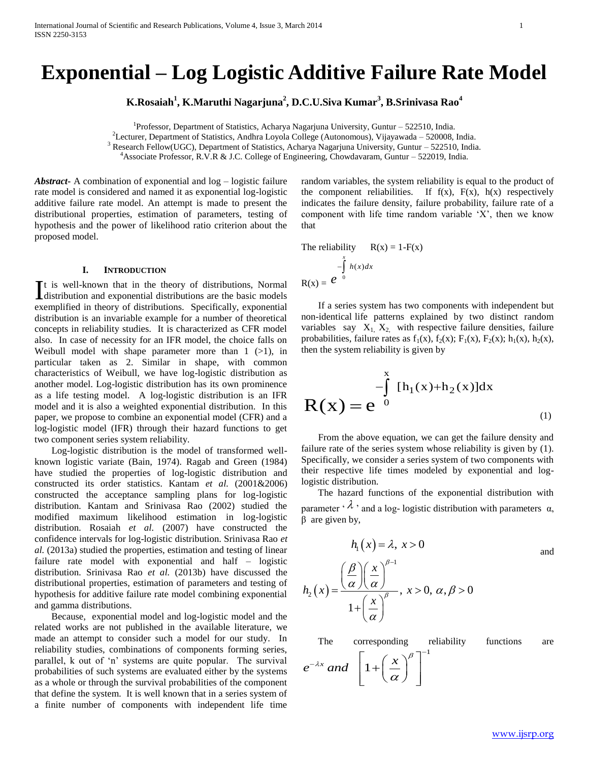# **Exponential – Log Logistic Additive Failure Rate Model**

**K.Rosaiah<sup>1</sup> , K.Maruthi Nagarjuna<sup>2</sup> , D.C.U.Siva Kumar<sup>3</sup> , B.Srinivasa Rao<sup>4</sup>**

<sup>1</sup>Professor, Department of Statistics, Acharya Nagarjuna University, Guntur - 522510, India.

<sup>2</sup>Lecturer, Department of Statistics, Andhra Loyola College (Autonomous), Vijayawada – 520008, India.

<sup>3</sup> Research Fellow(UGC), Department of Statistics, Acharya Nagarjuna University, Guntur – 522510, India.

 $h_{\gamma}$ 

<sup>4</sup>Associate Professor, R.V.R & J.C. College of Engineering, Chowdavaram, Guntur – 522019, India.

*Abstract***-** A combination of exponential and log – logistic failure rate model is considered and named it as exponential log-logistic additive failure rate model. An attempt is made to present the distributional properties, estimation of parameters, testing of hypothesis and the power of likelihood ratio criterion about the proposed model.

# **I. INTRODUCTION**

t is well-known that in the theory of distributions, Normal It is well-known that in the theory of distributions, Normal distribution and exponential distributions are the basic models exemplified in theory of distributions. Specifically, exponential distribution is an invariable example for a number of theoretical concepts in reliability studies. It is characterized as CFR model also. In case of necessity for an IFR model, the choice falls on Weibull model with shape parameter more than  $1$  ( $>1$ ), in particular taken as 2. Similar in shape, with common characteristics of Weibull, we have log-logistic distribution as another model. Log-logistic distribution has its own prominence as a life testing model. A log-logistic distribution is an IFR model and it is also a weighted exponential distribution. In this paper, we propose to combine an exponential model (CFR) and a log-logistic model (IFR) through their hazard functions to get two component series system reliability.

 Log-logistic distribution is the model of transformed wellknown logistic variate (Bain, 1974). Ragab and Green (1984) have studied the properties of log-logistic distribution and constructed its order statistics. Kantam *et al.* (2001&2006) constructed the acceptance sampling plans for log-logistic distribution. Kantam and Srinivasa Rao (2002) studied the modified maximum likelihood estimation in log-logistic distribution. Rosaiah *et al.* (2007) have constructed the confidence intervals for log-logistic distribution. Srinivasa Rao *et al.* (2013a) studied the properties, estimation and testing of linear failure rate model with exponential and half – logistic distribution. Srinivasa Rao *et al.* (2013b) have discussed the distributional properties, estimation of parameters and testing of hypothesis for additive failure rate model combining exponential and gamma distributions.

 Because, exponential model and log-logistic model and the related works are not published in the available literature, we made an attempt to consider such a model for our study. In reliability studies, combinations of components forming series, parallel, k out of 'n' systems are quite popular. The survival probabilities of such systems are evaluated either by the systems as a whole or through the survival probabilities of the component that define the system. It is well known that in a series system of a finite number of components with independent life time

random variables, the system reliability is equal to the product of the component reliabilities. If  $f(x)$ ,  $F(x)$ ,  $h(x)$  respectively indicates the failure density, failure probability, failure rate of a component with life time random variable 'X', then we know that

The reliability 
$$
R(x) = 1 - F(x)
$$
  
\n
$$
-\int_{0}^{x} h(x) dx
$$
\n
$$
R(x) = e^{-0}
$$

 If a series system has two components with independent but non-identical life patterns explained by two distinct random variables say  $X_1$ ,  $X_2$ , with respective failure densities, failure probabilities, failure rates as  $f_1(x)$ ,  $f_2(x)$ ;  $F_1(x)$ ,  $F_2(x)$ ;  $h_1(x)$ ,  $h_2(x)$ , then the system reliability is given by

$$
R(x) = e^{-\int_{0}^{x} [h_1(x) + h_2(x)]dx}
$$
\n(1)

 From the above equation, we can get the failure density and failure rate of the series system whose reliability is given by (1). Specifically, we consider a series system of two components with their respective life times modeled by exponential and loglogistic distribution.

 The hazard functions of the exponential distribution with parameter  $\langle \lambda \rangle$  and a log-logistic distribution with parameters  $\alpha$ , β are given by,

$$
h_1(x) = \lambda, \ x > 0
$$
\nand\n
$$
h_2(x) = \frac{\left(\frac{\beta}{\alpha}\right)\left(\frac{x}{\alpha}\right)^{\beta - 1}}{1 + \left(\frac{x}{\alpha}\right)^{\beta}}, \ x > 0, \ \alpha, \beta > 0
$$

The corresponding reliability functions are

$$
e^{-\lambda x} \text{ and } \left[1 + \left(\frac{x}{\alpha}\right)^{\beta}\right]^{-1}
$$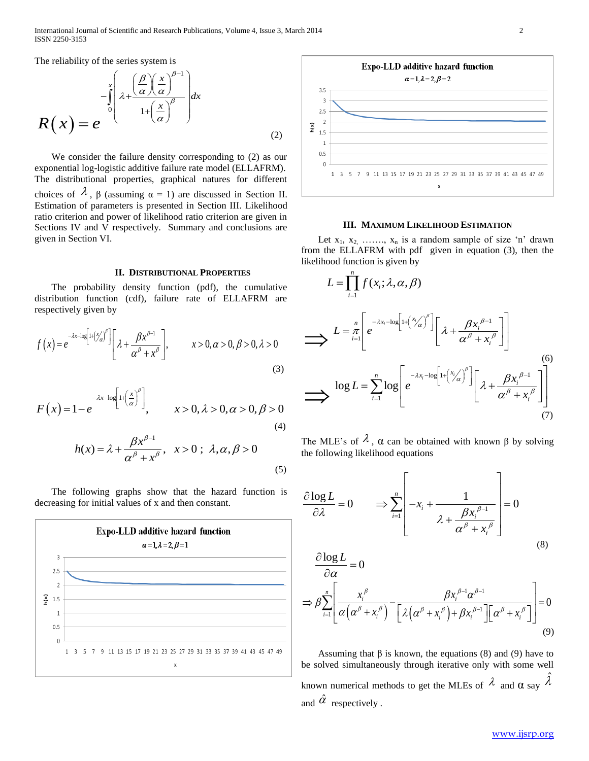The reliability of the series system is

$$
R(x) = e^{-\int_{0}^{x} \left(\frac{\beta}{\alpha} \left(\frac{x}{\alpha}\right)^{\beta-1}\right) dx}
$$
\n(2)

 We consider the failure density corresponding to (2) as our exponential log-logistic additive failure rate model (ELLAFRM). The distributional properties, graphical natures for different choices of  $\lambda$ ,  $\beta$  (assuming  $\alpha = 1$ ) are discussed in Section II. Estimation of parameters is presented in Section III. Likelihood ratio criterion and power of likelihood ratio criterion are given in Sections IV and V respectively. Summary and conclusions are given in Section VI.

## **II. DISTRIBUTIONAL PROPERTIES**

 The probability density function (pdf), the cumulative distribution function (cdf), failure rate of ELLAFRM are respectively given by

respectively given by  
\n
$$
f(x) = e^{-\lambda x - \log \left[1 + \left(\frac{x}{\alpha}\right)^{\beta}\right]} \left[\lambda + \frac{\beta x^{\beta - 1}}{\alpha^{\beta} + x^{\beta}}\right], \qquad x > 0, \alpha > 0, \beta > 0, \lambda > 0
$$
\n(3)

$$
F(x) = 1 - e^{-\lambda x - \log \left[1 + \left(\frac{x}{\alpha}\right)^{\beta}\right]}, \qquad x > 0, \lambda > 0, \alpha > 0, \beta > 0
$$
 (4)

$$
h(x) = \lambda + \frac{\beta x^{\beta - 1}}{\alpha^{\beta} + x^{\beta}}, \quad x > 0; \quad \lambda, \alpha, \beta > 0
$$
\n
$$
\tag{5}
$$

 The following graphs show that the hazard function is decreasing for initial values of x and then constant.





#### **III. MAXIMUM LIKELIHOOD ESTIMATION**

Let  $x_1, x_2, \ldots, x_n$  is a random sample of size 'n' drawn from the ELLAFRM with pdf given in equation (3), then the likelihood function is given by

$$
L = \prod_{i=1}^{n} f(x_i; \lambda, \alpha, \beta)
$$
  
\n
$$
\implies L = \frac{n}{\pi} \left[ e^{-\lambda x_i - \log \left[1 + {x / \alpha} \right]^{\beta}} \right] \left[ \lambda + \frac{\beta x_i^{\beta - 1}}{\alpha^{\beta} + x_i^{\beta}} \right]
$$
  
\n
$$
\implies \log L = \sum_{i=1}^{n} \log \left[ e^{-\lambda x_i - \log \left[1 + {x / \alpha} \right]^{\beta}} \right] \left[ \lambda + \frac{\beta x_i^{\beta - 1}}{\alpha^{\beta} + x_i^{\beta}} \right]
$$
  
\n(6)  
\n
$$
\implies \log L = \sum_{i=1}^{n} \log \left[ e^{-\lambda x_i - \log \left[1 + {x / \alpha} \right]^{\beta}} \right] \left[ \lambda + \frac{\beta x_i^{\beta - 1}}{\alpha^{\beta} + x_i^{\beta}} \right]
$$
  
\n(7)

The MLE's of  $\lambda$ ,  $\alpha$  can be obtained with known  $\beta$  by solving the following likelihood equations

the following nkenhood equations  
\n
$$
\frac{\partial \log L}{\partial \lambda} = 0 \qquad \Rightarrow \sum_{i=1}^{n} \left[ -x_i + \frac{1}{\lambda + \frac{\beta x_i^{\beta - 1}}{\alpha^{\beta} + x_i^{\beta}}} \right] = 0
$$
\n
$$
\frac{\partial \log L}{\partial \lambda} = 0
$$
\n(8)

$$
\frac{\partial \log L}{\partial \alpha} = 0
$$
\n
$$
\Rightarrow \beta \sum_{i=1}^{n} \left[ \frac{x_i^{\beta}}{\alpha (\alpha^{\beta} + x_i^{\beta})} - \frac{\beta x_i^{\beta - 1} \alpha^{\beta - 1}}{\left[ \lambda (\alpha^{\beta} + x_i^{\beta}) + \beta x_i^{\beta - 1} \right] \left[ \alpha^{\beta} + x_i^{\beta} \right]} \right] = 0
$$
\n(9)

Assuming that  $\beta$  is known, the equations (8) and (9) have to be solved simultaneously through iterative only with some well known numerical methods to get the MLEs of  $\lambda$  and  $\alpha$  say  $\hat{\lambda}$ and  $\hat{\alpha}$  respectively.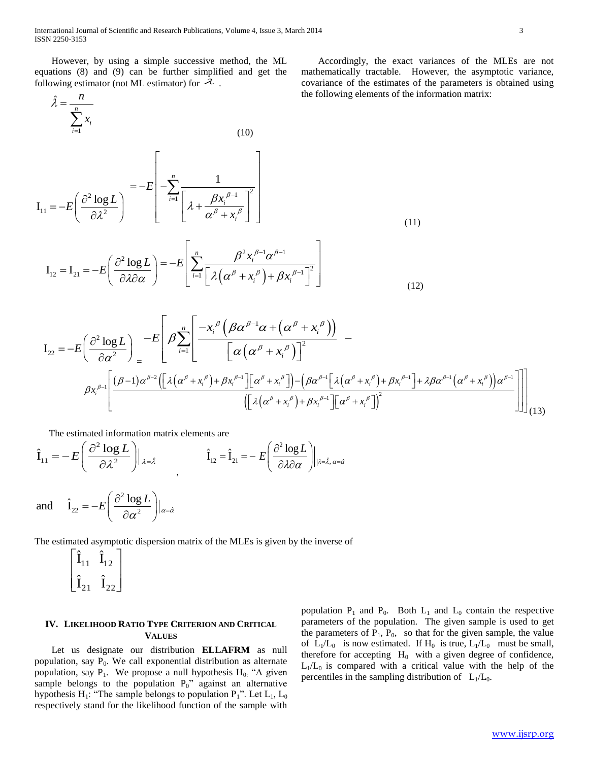International Journal of Scientific and Research Publications, Volume 4, Issue 3, March 2014 3 ISSN 2250-3153

 However, by using a simple successive method, the ML equations (8) and (9) can be further simplified and get the following estimator (not ML estimator) for  $\lambda$ .

 $\hat{\lambda} = -\frac{1}{n}$ 

 $\widetilde{\lambda} =$ 

*i*

*x*

*n*

 $\sum$ 

 Accordingly, the exact variances of the MLEs are not mathematically tractable. However, the asymptotic variance, covariance of the estimates of the parameters is obtained using the following elements of the information matrix:

$$
I_{11} = -E\left(\frac{\partial^2 \log L}{\partial \lambda^2}\right) = -E\left[-\sum_{i=1}^n \frac{1}{\left[\lambda + \frac{\beta x_i^{\beta - 1}}{\alpha^\beta + x_i^\beta}\right]^2}\right]
$$
(11)

$$
\mathbf{I}_{12} = \mathbf{I}_{21} = -E \left( \frac{\partial^2 \log L}{\partial \lambda \partial \alpha} \right) = -E \left[ \sum_{i=1}^n \frac{\beta^2 x_i^{\beta - 1} \alpha^{\beta - 1}}{\left[ \lambda \left( \alpha^\beta + x_i^\beta \right) + \beta x_i^{\beta - 1} \right]^2} \right]
$$
(12)

$$
I_{22} = -E\left(\frac{\partial^2 \log L}{\partial \alpha^2}\right)_= -E\left[\beta \sum_{i=1}^n \left[\frac{-x_i^{\beta} \left(\beta \alpha^{\beta-1} \alpha + (\alpha^{\beta} + x_i^{\beta})\right)}{\left[\alpha \left(\alpha^{\beta} + x_i^{\beta}\right)\right]^2}\right] - \frac{1}{\beta x_i^{\beta-1}}\left[\frac{(\beta-1) \alpha^{\beta-2} \left(\left[\lambda \left(\alpha^{\beta} + x_i^{\beta}\right) + \beta x_i^{\beta-1}\right]\left[\alpha^{\beta} + x_i^{\beta}\right]\right) - (\beta \alpha^{\beta-1} \left[\lambda \left(\alpha^{\beta} + x_i^{\beta}\right) + \beta x_i^{\beta-1}\right] + \lambda \beta \alpha^{\beta-1} \left(\alpha^{\beta} + x_i^{\beta}\right)\right)\alpha^{\beta-1}}{\left(\left[\lambda \left(\alpha^{\beta} + x_i^{\beta}\right) + \beta x_i^{\beta-1}\right]\left[\alpha^{\beta} + x_i^{\beta}\right]\right)^2}
$$
\n(13)

The estimated information matrix elements are  
\n
$$
\hat{\mathbf{I}}_{11} = -E \left( \frac{\partial^2 \log L}{\partial \lambda^2} \right) |_{\lambda = \hat{\lambda}} \qquad \hat{\mathbf{I}}_{12} = \hat{\mathbf{I}}_{21} = -E \left( \frac{\partial^2 \log L}{\partial \lambda \partial \alpha} \right) |_{\lambda = \hat{\lambda}, \alpha = \hat{\alpha}}
$$

and 
$$
\hat{\mathbf{l}}_{22} = -E \left( \frac{\partial^2 \log L}{\partial \alpha^2} \right) |_{\alpha = \hat{\alpha}}
$$

The estimated asymptotic dispersion matrix of the MLEs is given by the inverse of

 $\overline{\phantom{a}}$  $\overline{\phantom{a}}$  $\rfloor$  $\overline{\phantom{a}}$  $\mathsf{L}$  $\overline{a}$ L  $\overline{a}$  $21 \t 22$  $11 - 12$  $\hat{\text{I}}_{21}$   $\hat{\text{I}}$  $\hat{\textbf{I}}_{11}$   $\hat{\textbf{I}}$ 

# **IV. LIKELIHOOD RATIO TYPE CRITERION AND CRITICAL VALUES**

 Let us designate our distribution **ELLAFRM** as null population, say  $P_0$ . We call exponential distribution as alternate population, say  $P_1$ . We propose a null hypothesis  $H_0$ : "A given sample belongs to the population  $P_0$ " against an alternative hypothesis  $H_1$ : "The sample belongs to population  $P_1$ ". Let  $L_1$ ,  $L_0$ respectively stand for the likelihood function of the sample with population  $P_1$  and  $P_0$ . Both  $L_1$  and  $L_0$  contain the respective parameters of the population. The given sample is used to get the parameters of  $P_1$ ,  $P_0$ , so that for the given sample, the value of  $L_1/L_0$  is now estimated. If  $H_0$  is true,  $L_1/L_0$  must be small, therefore for accepting  $H_0$  with a given degree of confidence,  $L_1/L_0$  is compared with a critical value with the help of the percentiles in the sampling distribution of  $L_1/L_0$ .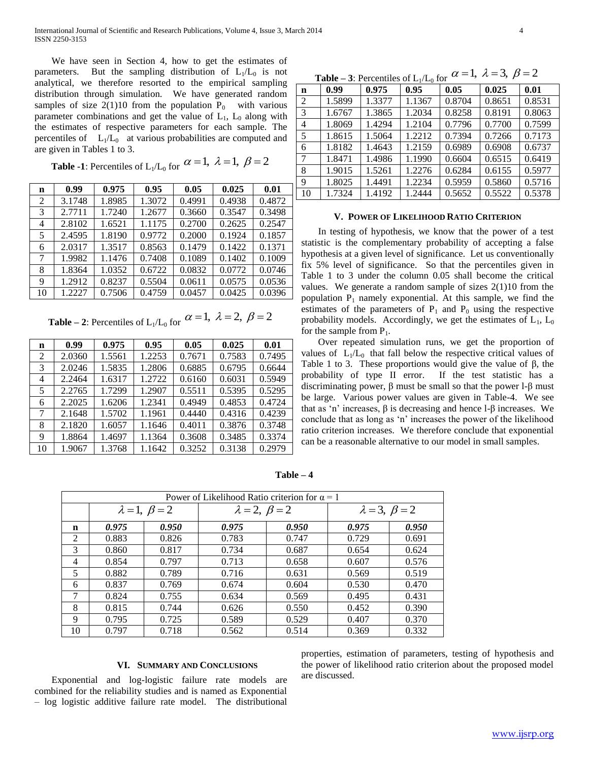We have seen in Section 4, how to get the estimates of parameters. But the sampling distribution of  $L_1/L_0$  is not analytical, we therefore resorted to the empirical sampling distribution through simulation. We have generated random samples of size  $2(1)10$  from the population  $P_0$  with various parameter combinations and get the value of  $L_1$ ,  $L_0$  along with the estimates of respective parameters for each sample. The percentiles of  $L_1/L_0$  at various probabilities are computed and are given in Tables 1 to 3.

**Table -1**: Percentiles of  $L_1/L_0$  for  $\alpha = 1$ ,  $\lambda = 1$ ,  $\beta = 2$ 

| n  | 0.99   | 0.975  | 0.95   | 0.05   | 0.025  | 0.01   |
|----|--------|--------|--------|--------|--------|--------|
| 2  | 3.1748 | 1.8985 | 1.3072 | 0.4991 | 0.4938 | 0.4872 |
| 3  | 2.7711 | 1.7240 | 1.2677 | 0.3660 | 0.3547 | 0.3498 |
| 4  | 2.8102 | 1.6521 | 1.1175 | 0.2700 | 0.2625 | 0.2547 |
| 5  | 2.4595 | 1.8190 | 0.9772 | 0.2000 | 0.1924 | 0.1857 |
| 6  | 2.0317 | 1.3517 | 0.8563 | 0.1479 | 0.1422 | 0.1371 |
| 7  | 1.9982 | 1.1476 | 0.7408 | 0.1089 | 0.1402 | 0.1009 |
| 8  | 1.8364 | 1.0352 | 0.6722 | 0.0832 | 0.0772 | 0.0746 |
| 9  | 1.2912 | 0.8237 | 0.5504 | 0.0611 | 0.0575 | 0.0536 |
| 10 | 1.2227 | 0.7506 | 0.4759 | 0.0457 | 0.0425 | 0.0396 |

**Table – 2:** Percentiles of  $L_1/L_0$  for  $\alpha = 1$ ,  $\lambda = 2$ ,  $\beta = 2$ 

| n  | 0.99   | 0.975  | 0.95   | 0.05   | 0.025  | 0.01   |
|----|--------|--------|--------|--------|--------|--------|
| 2  | 2.0360 | 1.5561 | 1.2253 | 0.7671 | 0.7583 | 0.7495 |
| 3  | 2.0246 | 1.5835 | 1.2806 | 0.6885 | 0.6795 | 0.6644 |
| 4  | 2.2464 | 1.6317 | 1.2722 | 0.6160 | 0.6031 | 0.5949 |
| 5  | 2.2765 | 1.7299 | 1.2907 | 0.5511 | 0.5395 | 0.5295 |
| 6  | 2.2025 | 1.6206 | 1.2341 | 0.4949 | 0.4853 | 0.4724 |
| 7  | 2.1648 | 1.5702 | 1.1961 | 0.4440 | 0.4316 | 0.4239 |
| 8  | 2.1820 | 1.6057 | 1.1646 | 0.4011 | 0.3876 | 0.3748 |
| 9  | 1.8864 | 1.4697 | 1.1364 | 0.3608 | 0.3485 | 0.3374 |
| 10 | 1.9067 | 1.3768 | 1.1642 | 0.3252 | 0.3138 | 0.2979 |

**Table – 3:** Percentiles of  $L_1/L_0$  for  $\alpha = 1$ ,  $\lambda = 3$ ,  $\beta = 2$ 

| $\mathbf n$    | 0.99   | 0.975  | 0.95   | 0.05   | 0.025  | 0.01   |  |
|----------------|--------|--------|--------|--------|--------|--------|--|
| 2              | 1.5899 | 1.3377 | 1.1367 | 0.8704 | 0.8651 | 0.8531 |  |
| 3              | 1.6767 | 1.3865 | 1.2034 | 0.8258 | 0.8191 | 0.8063 |  |
| $\overline{4}$ | 1.8069 | 1.4294 | 1.2104 | 0.7796 | 0.7700 | 0.7599 |  |
| -5             | 1.8615 | 1.5064 | 1.2212 | 0.7394 | 0.7266 | 0.7173 |  |
| 6              | 1.8182 | 1.4643 | 1.2159 | 0.6989 | 0.6908 | 0.6737 |  |
| 7              | 1.8471 | 1.4986 | 1.1990 | 0.6604 | 0.6515 | 0.6419 |  |
| 8              | 1.9015 | 1.5261 | 1.2276 | 0.6284 | 0.6155 | 0.5977 |  |
| 9              | 1.8025 | 1.4491 | 1.2234 | 0.5959 | 0.5860 | 0.5716 |  |
| 10             | 1.7324 | 1.4192 | 1.2444 | 0.5652 | 0.5522 | 0.5378 |  |

## **V. POWER OF LIKELIHOOD RATIO CRITERION**

 In testing of hypothesis, we know that the power of a test statistic is the complementary probability of accepting a false hypothesis at a given level of significance. Let us conventionally fix 5% level of significance. So that the percentiles given in Table 1 to 3 under the column 0.05 shall become the critical values. We generate a random sample of sizes 2(1)10 from the population  $P_1$  namely exponential. At this sample, we find the estimates of the parameters of  $P_1$  and  $P_0$  using the respective probability models. Accordingly, we get the estimates of  $L_1$ ,  $L_0$ for the sample from  $P_1$ .

 Over repeated simulation runs, we get the proportion of values of  $L_1/L_0$  that fall below the respective critical values of Table 1 to 3. These proportions would give the value of  $\beta$ , the probability of type II error. If the test statistic has a discriminating power, β must be small so that the power l-β must be large. Various power values are given in Table-4. We see that as 'n' increases,  $β$  is decreasing and hence l- $β$  increases. We conclude that as long as 'n' increases the power of the likelihood ratio criterion increases. We therefore conclude that exponential can be a reasonable alternative to our model in small samples.

| Power of Likelihood Ratio criterion for $\alpha = 1$ |                            |       |                            |       |                          |       |  |  |
|------------------------------------------------------|----------------------------|-------|----------------------------|-------|--------------------------|-------|--|--|
|                                                      | $\lambda = 1, \ \beta = 2$ |       | $\lambda = 2, \ \beta = 2$ |       | $\lambda = 3, \beta = 2$ |       |  |  |
| n                                                    | 0.975                      | 0.950 | 0.975                      | 0.950 | 0.975                    | 0.950 |  |  |
| 2                                                    | 0.883                      | 0.826 | 0.783                      | 0.747 | 0.729                    | 0.691 |  |  |
| 3                                                    | 0.860                      | 0.817 | 0.734                      | 0.687 | 0.654                    | 0.624 |  |  |
| 4                                                    | 0.854                      | 0.797 | 0.713                      | 0.658 | 0.607                    | 0.576 |  |  |
| 5                                                    | 0.882                      | 0.789 | 0.716                      | 0.631 | 0.569                    | 0.519 |  |  |
| 6                                                    | 0.837                      | 0.769 | 0.674                      | 0.604 | 0.530                    | 0.470 |  |  |
| 7                                                    | 0.824                      | 0.755 | 0.634                      | 0.569 | 0.495                    | 0.431 |  |  |
| 8                                                    | 0.815                      | 0.744 | 0.626                      | 0.550 | 0.452                    | 0.390 |  |  |
| 9                                                    | 0.795                      | 0.725 | 0.589                      | 0.529 | 0.407                    | 0.370 |  |  |
| 10                                                   | 0.797                      | 0.718 | 0.562                      | 0.514 | 0.369                    | 0.332 |  |  |

**Table – 4**

## **VI. SUMMARY AND CONCLUSIONS**

 Exponential and log-logistic failure rate models are combined for the reliability studies and is named as Exponential – log logistic additive failure rate model. The distributional

properties, estimation of parameters, testing of hypothesis and the power of likelihood ratio criterion about the proposed model are discussed.